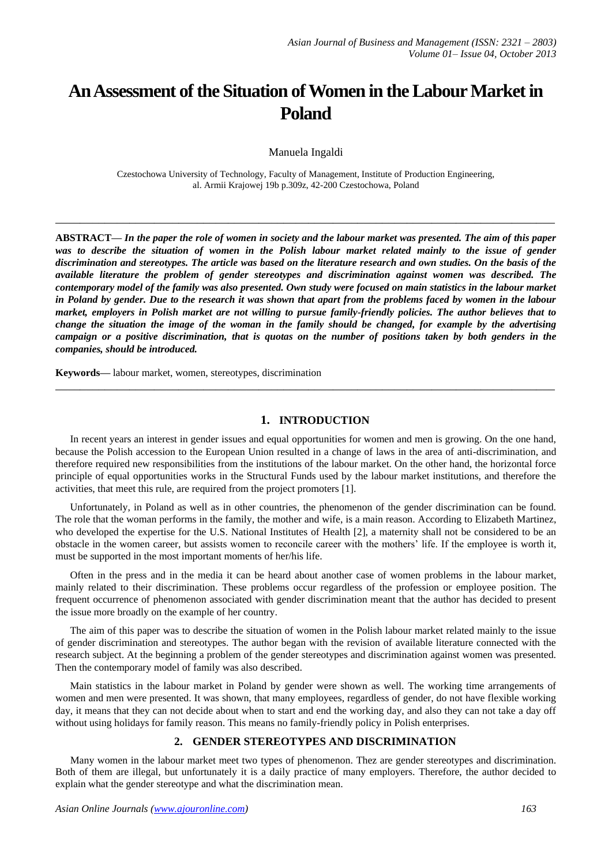# **An Assessment of the Situation of Women in the Labour Market in Poland**

Manuela Ingaldi

Czestochowa University of Technology, Faculty of Management, Institute of Production Engineering, al. Armii Krajowej 19b p.309z, 42-200 Czestochowa, Poland

**\_\_\_\_\_\_\_\_\_\_\_\_\_\_\_\_\_\_\_\_\_\_\_\_\_\_\_\_\_\_\_\_\_\_\_\_\_\_\_\_\_\_\_\_\_\_\_\_\_\_\_\_\_\_\_\_\_\_\_\_\_\_\_\_\_\_\_\_\_\_\_\_\_\_\_\_\_\_\_\_\_**

**ABSTRACT—** *In the paper the role of women in society and the labour market was presented. The aim of this paper*  was to describe the situation of women in the Polish labour market related mainly to the issue of gender *discrimination and stereotypes. The article was based on the literature research and own studies. On the basis of the available literature the problem of gender stereotypes and discrimination against women was described. The contemporary model of the family was also presented. Own study were focused on main statistics in the labour market in Poland by gender. Due to the research it was shown that apart from the problems faced by women in the labour market, employers in Polish market are not willing to pursue family-friendly policies. The author believes that to change the situation the image of the woman in the family should be changed, for example by the advertising campaign or a positive discrimination, that is quotas on the number of positions taken by both genders in the companies, should be introduced.*

**Keywords—** labour market, women, stereotypes, discrimination

## **1. INTRODUCTION**

**\_\_\_\_\_\_\_\_\_\_\_\_\_\_\_\_\_\_\_\_\_\_\_\_\_\_\_\_\_\_\_\_\_\_\_\_\_\_\_\_\_\_\_\_\_\_\_\_\_\_\_\_\_\_\_\_\_\_\_\_\_\_\_\_\_\_\_\_\_\_\_\_\_\_\_\_\_\_\_\_\_**

In recent years an interest in gender issues and equal opportunities for women and men is growing. On the one hand, because the Polish accession to the European Union resulted in a change of laws in the area of anti-discrimination, and therefore required new responsibilities from the institutions of the labour market. On the other hand, the horizontal force principle of equal opportunities works in the Structural Funds used by the labour market institutions, and therefore the activities, that meet this rule, are required from the project promoters [1].

Unfortunately, in Poland as well as in other countries, the phenomenon of the gender discrimination can be found. The role that the woman performs in the family, the mother and wife, is a main reason. According to Elizabeth Martinez, who developed the expertise for the U.S. National Institutes of Health [2], a maternity shall not be considered to be an obstacle in the women career, but assists women to reconcile career with the mothers' life. If the employee is worth it, must be supported in the most important moments of her/his life.

Often in the press and in the media it can be heard about another case of women problems in the labour market, mainly related to their discrimination. These problems occur regardless of the profession or employee position. The frequent occurrence of phenomenon associated with gender discrimination meant that the author has decided to present the issue more broadly on the example of her country.

The aim of this paper was to describe the situation of women in the Polish labour market related mainly to the issue of gender discrimination and stereotypes. The author began with the revision of available literature connected with the research subject. At the beginning a problem of the gender stereotypes and discrimination against women was presented. Then the contemporary model of family was also described.

Main statistics in the labour market in Poland by gender were shown as well. The working time arrangements of women and men were presented. It was shown, that many employees, regardless of gender, do not have flexible working day, it means that they can not decide about when to start and end the working day, and also they can not take a day off without using holidays for family reason. This means no family-friendly policy in Polish enterprises.

### **2. GENDER STEREOTYPES AND DISCRIMINATION**

Many women in the labour market meet two types of phenomenon. Thez are gender stereotypes and discrimination. Both of them are illegal, but unfortunately it is a daily practice of many employers. Therefore, the author decided to explain what the gender stereotype and what the discrimination mean.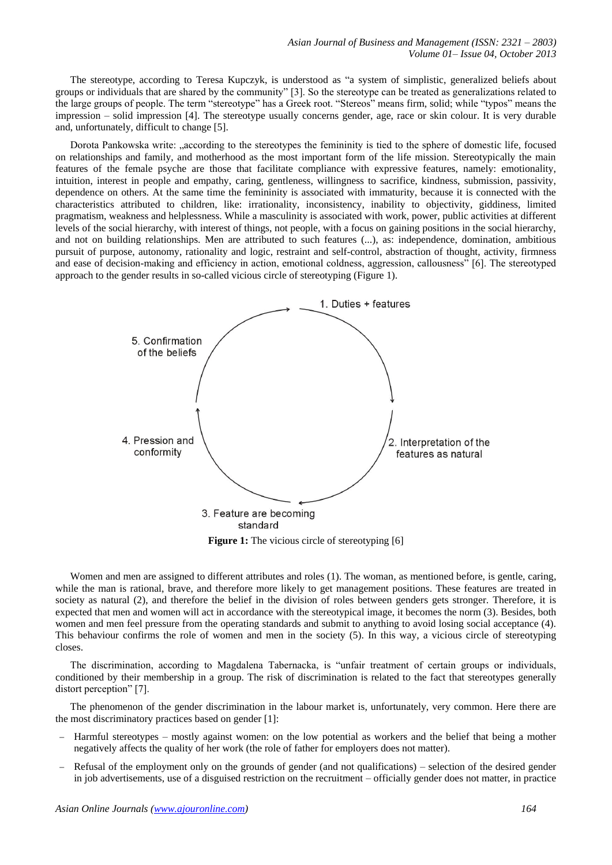The stereotype, according to Teresa Kupczyk, is understood as "a system of simplistic, generalized beliefs about groups or individuals that are shared by the community" [3]. So the stereotype can be treated as generalizations related to the large groups of people. The term "stereotype" has a Greek root. "Stereos" means firm, solid; while "typos" means the impression – solid impression [4]. The stereotype usually concerns gender, age, race or skin colour. It is very durable and, unfortunately, difficult to change [5].

Dorota Pankowska write: "according to the stereotypes the femininity is tied to the sphere of domestic life, focused on relationships and family, and motherhood as the most important form of the life mission. Stereotypically the main features of the female psyche are those that facilitate compliance with expressive features, namely: emotionality, intuition, interest in people and empathy, caring, gentleness, willingness to sacrifice, kindness, submission, passivity, dependence on others. At the same time the femininity is associated with immaturity, because it is connected with the characteristics attributed to children, like: irrationality, inconsistency, inability to objectivity, giddiness, limited pragmatism, weakness and helplessness. While a masculinity is associated with work, power, public activities at different levels of the social hierarchy, with interest of things, not people, with a focus on gaining positions in the social hierarchy, and not on building relationships. Men are attributed to such features (...), as: independence, domination, ambitious pursuit of purpose, autonomy, rationality and logic, restraint and self-control, abstraction of thought, activity, firmness and ease of decision-making and efficiency in action, emotional coldness, aggression, callousness" [6]. The stereotyped approach to the gender results in so-called vicious circle of stereotyping (Figure 1).



**Figure 1:** The vicious circle of stereotyping [6]

Women and men are assigned to different attributes and roles (1). The woman, as mentioned before, is gentle, caring, while the man is rational, brave, and therefore more likely to get management positions. These features are treated in society as natural (2), and therefore the belief in the division of roles between genders gets stronger. Therefore, it is expected that men and women will act in accordance with the stereotypical image, it becomes the norm (3). Besides, both women and men feel pressure from the operating standards and submit to anything to avoid losing social acceptance (4). This behaviour confirms the role of women and men in the society (5). In this way, a vicious circle of stereotyping closes.

The discrimination, according to Magdalena Tabernacka, is "unfair treatment of certain groups or individuals, conditioned by their membership in a group. The risk of discrimination is related to the fact that stereotypes generally distort perception" [7].

The phenomenon of the gender discrimination in the labour market is, unfortunately, very common. Here there are the most discriminatory practices based on gender [1]:

- Harmful stereotypes mostly against women: on the low potential as workers and the belief that being a mother negatively affects the quality of her work (the role of father for employers does not matter).
- Refusal of the employment only on the grounds of gender (and not qualifications) selection of the desired gender in job advertisements, use of a disguised restriction on the recruitment – officially gender does not matter, in practice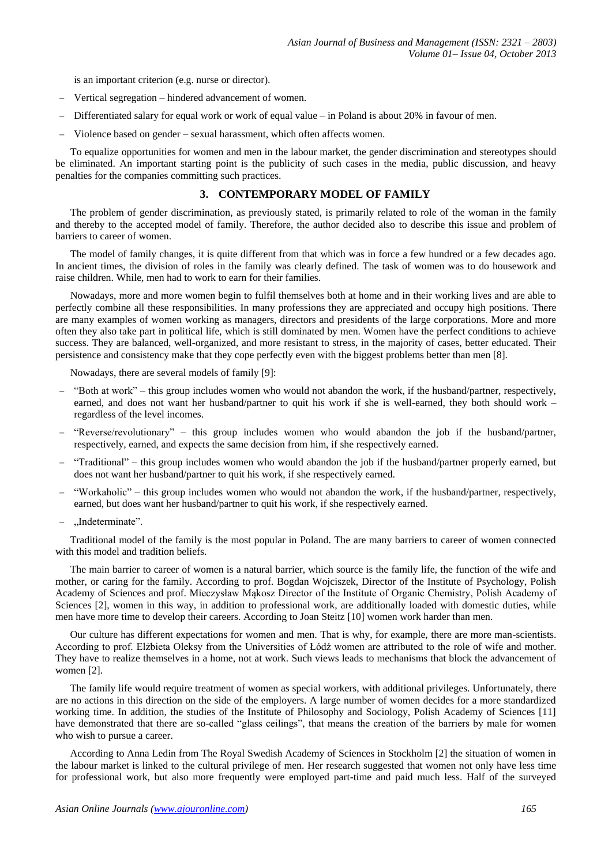is an important criterion (e.g. nurse or director).

- Vertical segregation hindered advancement of women.
- Differentiated salary for equal work or work of equal value in Poland is about 20% in favour of men.
- Violence based on gender sexual harassment, which often affects women.

To equalize opportunities for women and men in the labour market, the gender discrimination and stereotypes should be eliminated. An important starting point is the publicity of such cases in the media, public discussion, and heavy penalties for the companies committing such practices.

### **3. CONTEMPORARY MODEL OF FAMILY**

The problem of gender discrimination, as previously stated, is primarily related to role of the woman in the family and thereby to the accepted model of family. Therefore, the author decided also to describe this issue and problem of barriers to career of women.

The model of family changes, it is quite different from that which was in force a few hundred or a few decades ago. In ancient times, the division of roles in the family was clearly defined. The task of women was to do housework and raise children. While, men had to work to earn for their families.

Nowadays, more and more women begin to fulfil themselves both at home and in their working lives and are able to perfectly combine all these responsibilities. In many professions they are appreciated and occupy high positions. There are many examples of women working as managers, directors and presidents of the large corporations. More and more often they also take part in political life, which is still dominated by men. Women have the perfect conditions to achieve success. They are balanced, well-organized, and more resistant to stress, in the majority of cases, better educated. Their persistence and consistency make that they cope perfectly even with the biggest problems better than men [8].

Nowadays, there are several models of family [9]:

- "Both at work" this group includes women who would not abandon the work, if the husband/partner, respectively, earned, and does not want her husband/partner to quit his work if she is well-earned, they both should work – regardless of the level incomes.
- "Reverse/revolutionary" this group includes women who would abandon the job if the husband/partner, respectively, earned, and expects the same decision from him, if she respectively earned.
- "Traditional" this group includes women who would abandon the job if the husband/partner properly earned, but does not want her husband/partner to quit his work, if she respectively earned.
- "Workaholic" this group includes women who would not abandon the work, if the husband/partner, respectively, earned, but does want her husband/partner to quit his work, if she respectively earned.
- .,Indeterminate".

Traditional model of the family is the most popular in Poland. The are many barriers to career of women connected with this model and tradition beliefs.

The main barrier to career of women is a natural barrier, which source is the family life, the function of the wife and mother, or caring for the family. According to prof. Bogdan Wojciszek, Director of the Institute of Psychology, Polish Academy of Sciences and prof. Mieczysław Mąkosz Director of the Institute of Organic Chemistry, Polish Academy of Sciences [2], women in this way, in addition to professional work, are additionally loaded with domestic duties, while men have more time to develop their careers. According to Joan Steitz [10] women work harder than men.

Our culture has different expectations for women and men. That is why, for example, there are more man-scientists. According to prof. Elżbieta Oleksy from the Universities of Łódź women are attributed to the role of wife and mother. They have to realize themselves in a home, not at work. Such views leads to mechanisms that block the advancement of women [2].

The family life would require treatment of women as special workers, with additional privileges. Unfortunately, there are no actions in this direction on the side of the employers. A large number of women decides for a more standardized working time. In addition, the studies of the Institute of Philosophy and Sociology, Polish Academy of Sciences [11] have demonstrated that there are so-called "glass ceilings", that means the creation of the barriers by male for women who wish to pursue a career.

According to Anna Ledin from The Royal Swedish Academy of Sciences in Stockholm [2] the situation of women in the labour market is linked to the cultural privilege of men. Her research suggested that women not only have less time for professional work, but also more frequently were employed part-time and paid much less. Half of the surveyed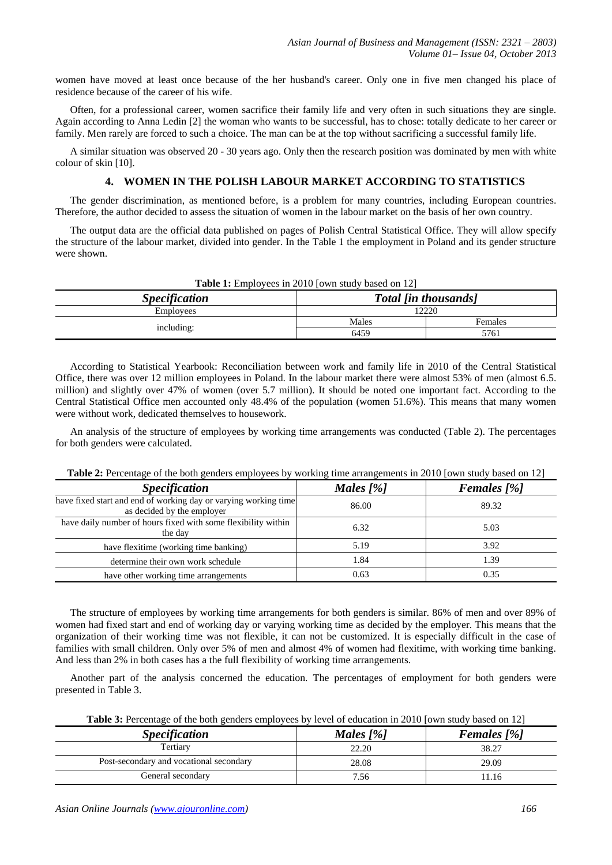women have moved at least once because of the her husband's career. Only one in five men changed his place of residence because of the career of his wife.

Often, for a professional career, women sacrifice their family life and very often in such situations they are single. Again according to Anna Ledin [2] the woman who wants to be successful, has to chose: totally dedicate to her career or family. Men rarely are forced to such a choice. The man can be at the top without sacrificing a successful family life.

A similar situation was observed 20 - 30 years ago. Only then the research position was dominated by men with white colour of skin [10].

## **4. WOMEN IN THE POLISH LABOUR MARKET ACCORDING TO STATISTICS**

The gender discrimination, as mentioned before, is a problem for many countries, including European countries. Therefore, the author decided to assess the situation of women in the labour market on the basis of her own country.

The output data are the official data published on pages of Polish Central Statistical Office. They will allow specify the structure of the labour market, divided into gender. In the Table 1 the employment in Poland and its gender structure were shown.

| <b>Table 1:</b> Employees in 2010 Jown study based on 121 |                             |         |  |
|-----------------------------------------------------------|-----------------------------|---------|--|
| <b>Specification</b>                                      | <b>Total [in thousands]</b> |         |  |
| Employees                                                 | 12220                       |         |  |
| including:                                                | Males                       | Females |  |
|                                                           | 6459                        | 5761    |  |

**Table 1:** Employees in 2010 [own study based on 12]

According to Statistical Yearbook: Reconciliation between work and family life in 2010 of the Central Statistical Office, there was over 12 million employees in Poland. In the labour market there were almost 53% of men (almost 6.5. million) and slightly over 47% of women (over 5.7 million). It should be noted one important fact. According to the Central Statistical Office men accounted only 48.4% of the population (women 51.6%). This means that many women were without work, dedicated themselves to housework.

An analysis of the structure of employees by working time arrangements was conducted (Table 2). The percentages for both genders were calculated.

| <b>Table 2.</b> Fellomage of the both genuers employees by working this arrangements in 2010 fown study based on 12 |             |                    |  |
|---------------------------------------------------------------------------------------------------------------------|-------------|--------------------|--|
| <b>Specification</b>                                                                                                | Males $[%]$ | <b>Females</b> [%] |  |
| have fixed start and end of working day or varying working time<br>as decided by the employer                       | 86.00       | 89.32              |  |
| have daily number of hours fixed with some flexibility within<br>the day                                            | 6.32        | 5.03               |  |
| have flexitime (working time banking)                                                                               | 5.19        | 3.92               |  |
| determine their own work schedule                                                                                   | 1.84        | 1.39               |  |
| have other working time arrangements                                                                                | 0.63        | 0.35               |  |

**Table 2:** Percentage of the both genders employees by working time arrangements in 2010 [own study based on 12]

The structure of employees by working time arrangements for both genders is similar. 86% of men and over 89% of women had fixed start and end of working day or varying working time as decided by the employer. This means that the organization of their working time was not flexible, it can not be customized. It is especially difficult in the case of families with small children. Only over 5% of men and almost 4% of women had flexitime, with working time banking. And less than 2% in both cases has a the full flexibility of working time arrangements.

Another part of the analysis concerned the education. The percentages of employment for both genders were presented in Table 3.

| <b>Table 3:</b> Percentage of the both genders employees by level of education in 2010 [own study based on 12] |  |  |  |
|----------------------------------------------------------------------------------------------------------------|--|--|--|
|----------------------------------------------------------------------------------------------------------------|--|--|--|

| <b>Specification</b>                    | Males $[%]$ | <b>Females</b> [%] |
|-----------------------------------------|-------------|--------------------|
| Tertiary                                | 22.20       | 38.27              |
| Post-secondary and vocational secondary | 28.08       | 29.09              |
| General secondary                       | 7.56        | 11.16              |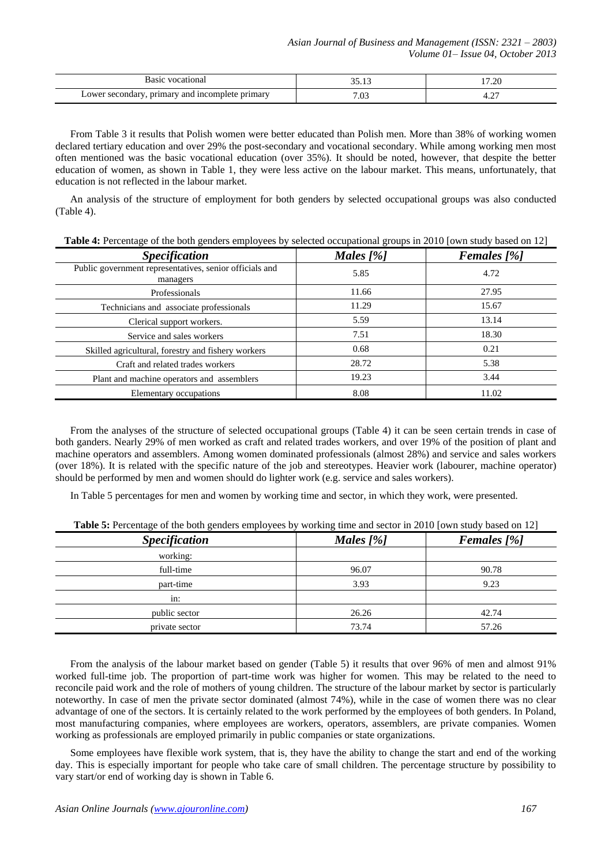| .                                                              | $\sim$ $\sim$ | ാറ   |
|----------------------------------------------------------------|---------------|------|
|                                                                | $\sim$        | ∖ ∡. |
| primary<br>incomple<br>⊿nmarv<br>JT.<br>ano<br>∍те<br>$-0.7.2$ | $\sim$<br>.v. | -⊷   |

From Table 3 it results that Polish women were better educated than Polish men. More than 38% of working women declared tertiary education and over 29% the post-secondary and vocational secondary. While among working men most often mentioned was the basic vocational education (over 35%). It should be noted, however, that despite the better education of women, as shown in Table 1, they were less active on the labour market. This means, unfortunately, that education is not reflected in the labour market.

An analysis of the structure of employment for both genders by selected occupational groups was also conducted (Table 4).

| <b>Table 4:</b> Percentage of the both genders employees by selected occupational groups in 2010 [own study based on 12] |  |  |
|--------------------------------------------------------------------------------------------------------------------------|--|--|
|                                                                                                                          |  |  |

| <b>Specification</b>                                                | Males $[%]$ | <b>Females</b> [%] |
|---------------------------------------------------------------------|-------------|--------------------|
| Public government representatives, senior officials and<br>managers | 5.85        | 4.72               |
| Professionals                                                       | 11.66       | 27.95              |
| Technicians and associate professionals                             | 11.29       | 15.67              |
| Clerical support workers.                                           | 5.59        | 13.14              |
| Service and sales workers                                           | 7.51        | 18.30              |
| Skilled agricultural, forestry and fishery workers                  | 0.68        | 0.21               |
| Craft and related trades workers                                    | 28.72       | 5.38               |
| Plant and machine operators and assemblers                          | 19.23       | 3.44               |
| Elementary occupations                                              | 8.08        | 11.02              |

From the analyses of the structure of selected occupational groups (Table 4) it can be seen certain trends in case of both ganders. Nearly 29% of men worked as craft and related trades workers, and over 19% of the position of plant and machine operators and assemblers. Among women dominated professionals (almost 28%) and service and sales workers (over 18%). It is related with the specific nature of the job and stereotypes. Heavier work (labourer, machine operator) should be performed by men and women should do lighter work (e.g. service and sales workers).

In Table 5 percentages for men and women by working time and sector, in which they work, were presented.

| $- - - -$            |             |                    |  |
|----------------------|-------------|--------------------|--|
| <b>Specification</b> | Males $[%]$ | <b>Females</b> [%] |  |
| working:             |             |                    |  |
| full-time            | 96.07       | 90.78              |  |
| part-time            | 3.93        | 9.23               |  |
| in:                  |             |                    |  |
| public sector        | 26.26       | 42.74              |  |
| private sector       | 73.74       | 57.26              |  |

**Table 5:** Percentage of the both genders employees by working time and sector in 2010 [own study based on 12]

From the analysis of the labour market based on gender (Table 5) it results that over 96% of men and almost 91% worked full-time job. The proportion of part-time work was higher for women. This may be related to the need to reconcile paid work and the role of mothers of young children. The structure of the labour market by sector is particularly noteworthy. In case of men the private sector dominated (almost 74%), while in the case of women there was no clear advantage of one of the sectors. It is certainly related to the work performed by the employees of both genders. In Poland, most manufacturing companies, where employees are workers, operators, assemblers, are private companies. Women working as professionals are employed primarily in public companies or state organizations.

Some employees have flexible work system, that is, they have the ability to change the start and end of the working day. This is especially important for people who take care of small children. The percentage structure by possibility to vary start/or end of working day is shown in Table 6.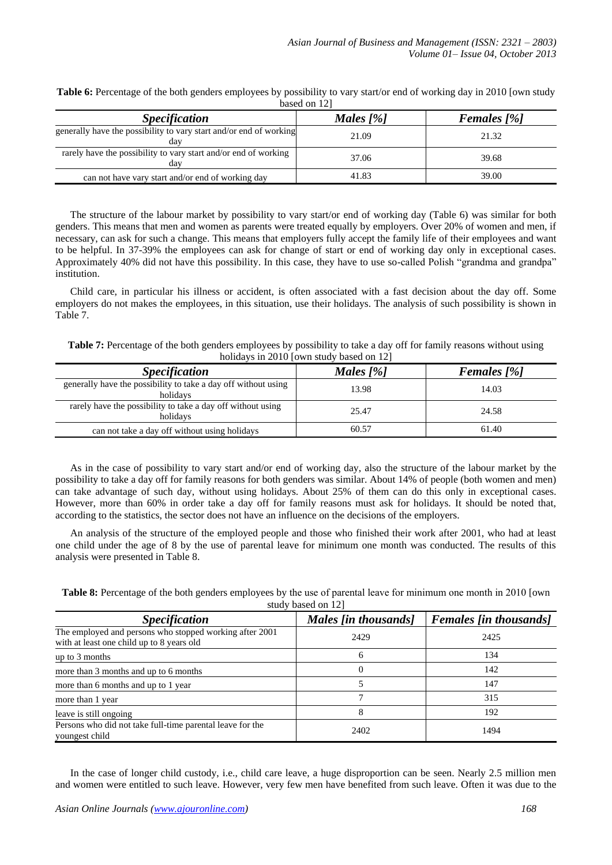| $\alpha$ <sub>0</sub> $\alpha$ <sub>0<math>\alpha</math></sub> $\alpha$ <sub>1</sub> |             |                    |  |
|--------------------------------------------------------------------------------------|-------------|--------------------|--|
| <b>Specification</b>                                                                 | Males $[%]$ | <b>Females</b> [%] |  |
| generally have the possibility to vary start and/or end of working<br>dav            | 21.09       | 21.32              |  |
| rarely have the possibility to vary start and/or end of working<br>dav               | 37.06       | 39.68              |  |
| can not have vary start and/or end of working day                                    | 41.83       | 39.00              |  |

**Table 6:** Percentage of the both genders employees by possibility to vary start/or end of working day in 2010 [own study  $\frac{1}{2}$ based on 12]

The structure of the labour market by possibility to vary start/or end of working day (Table 6) was similar for both genders. This means that men and women as parents were treated equally by employers. Over 20% of women and men, if necessary, can ask for such a change. This means that employers fully accept the family life of their employees and want to be helpful. In 37-39% the employees can ask for change of start or end of working day only in exceptional cases. Approximately 40% did not have this possibility. In this case, they have to use so-called Polish "grandma and grandpa" institution.

Child care, in particular his illness or accident, is often associated with a fast decision about the day off. Some employers do not makes the employees, in this situation, use their holidays. The analysis of such possibility is shown in Table 7.

**Table 7:** Percentage of the both genders employees by possibility to take a day off for family reasons without using holidays in 2010 [own study based on 12]

| <b>Specification</b>                                                       | Males $[%]$ | <b>Females</b> [%] |
|----------------------------------------------------------------------------|-------------|--------------------|
| generally have the possibility to take a day off without using<br>holidavs | 13.98       | 14.03              |
| rarely have the possibility to take a day off without using<br>holidavs    | 25.47       | 24.58              |
| can not take a day off without using holidays                              | 60.57       | 61.40              |

As in the case of possibility to vary start and/or end of working day, also the structure of the labour market by the possibility to take a day off for family reasons for both genders was similar. About 14% of people (both women and men) can take advantage of such day, without using holidays. About 25% of them can do this only in exceptional cases. However, more than 60% in order take a day off for family reasons must ask for holidays. It should be noted that, according to the statistics, the sector does not have an influence on the decisions of the employers.

An analysis of the structure of the employed people and those who finished their work after 2001, who had at least one child under the age of 8 by the use of parental leave for minimum one month was conducted. The results of this analysis were presented in Table 8.

**Table 8:** Percentage of the both genders employees by the use of parental leave for minimum one month in 2010 [own study based on 12]

| $\frac{12}{12}$                                                                                      |                      |                               |  |
|------------------------------------------------------------------------------------------------------|----------------------|-------------------------------|--|
| <b>Specification</b>                                                                                 | Males [in thousands] | <b>Females [in thousands]</b> |  |
| The employed and persons who stopped working after 2001<br>with at least one child up to 8 years old | 2429                 | 2425                          |  |
| up to 3 months                                                                                       | 6                    | 134                           |  |
| more than 3 months and up to 6 months                                                                |                      | 142                           |  |
| more than 6 months and up to 1 year                                                                  |                      | 147                           |  |
| more than 1 year                                                                                     |                      | 315                           |  |
| leave is still ongoing                                                                               | 8                    | 192                           |  |
| Persons who did not take full-time parental leave for the<br>youngest child                          | 2402                 | 1494                          |  |

In the case of longer child custody, i.e., child care leave, a huge disproportion can be seen. Nearly 2.5 million men and women were entitled to such leave. However, very few men have benefited from such leave. Often it was due to the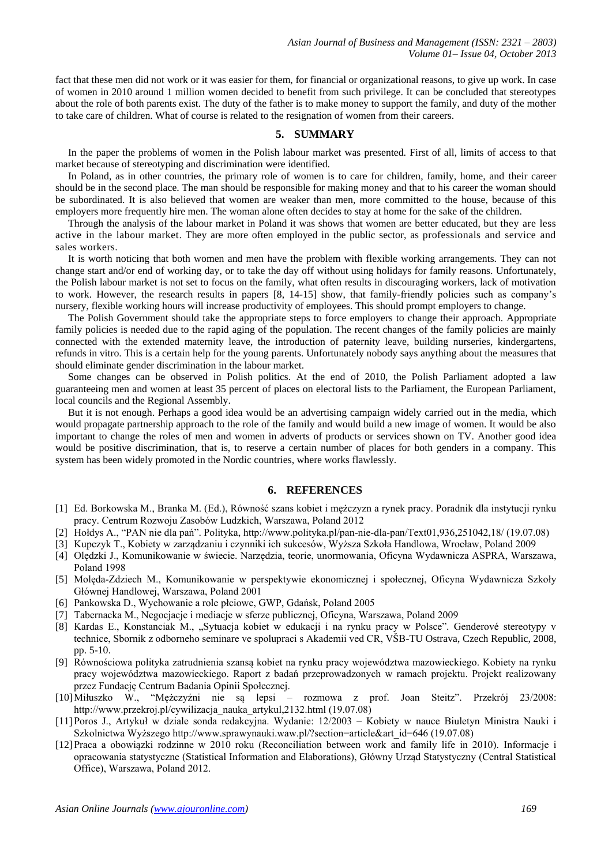fact that these men did not work or it was easier for them, for financial or organizational reasons, to give up work. In case of women in 2010 around 1 million women decided to benefit from such privilege. It can be concluded that stereotypes about the role of both parents exist. The duty of the father is to make money to support the family, and duty of the mother to take care of children. What of course is related to the resignation of women from their careers.

### **5. SUMMARY**

In the paper the problems of women in the Polish labour market was presented. First of all, limits of access to that market because of stereotyping and discrimination were identified.

In Poland, as in other countries, the primary role of women is to care for children, family, home, and their career should be in the second place. The man should be responsible for making money and that to his career the woman should be subordinated. It is also believed that women are weaker than men, more committed to the house, because of this employers more frequently hire men. The woman alone often decides to stay at home for the sake of the children.

Through the analysis of the labour market in Poland it was shows that women are better educated, but they are less active in the labour market. They are more often employed in the public sector, as professionals and service and sales workers.

It is worth noticing that both women and men have the problem with flexible working arrangements. They can not change start and/or end of working day, or to take the day off without using holidays for family reasons. Unfortunately, the Polish labour market is not set to focus on the family, what often results in discouraging workers, lack of motivation to work. However, the research results in papers [8, 14-15] show, that family-friendly policies such as company's nursery, flexible working hours will increase productivity of employees. This should prompt employers to change.

The Polish Government should take the appropriate steps to force employers to change their approach. Appropriate family policies is needed due to the rapid aging of the population. The recent changes of the family policies are mainly connected with the extended maternity leave, the introduction of paternity leave, building nurseries, kindergartens, refunds in vitro. This is a certain help for the young parents. Unfortunately nobody says anything about the measures that should eliminate gender discrimination in the labour market.

Some changes can be observed in Polish politics. At the end of 2010, the Polish Parliament adopted a law guaranteeing men and women at least 35 percent of places on electoral lists to the Parliament, the European Parliament, local councils and the Regional Assembly.

But it is not enough. Perhaps a good idea would be an advertising campaign widely carried out in the media, which would propagate partnership approach to the role of the family and would build a new image of women. It would be also important to change the roles of men and women in adverts of products or services shown on TV. Another good idea would be positive discrimination, that is, to reserve a certain number of places for both genders in a company. This system has been widely promoted in the Nordic countries, where works flawlessly.

#### **6. REFERENCES**

- [1] Ed. Borkowska M., Branka M. (Ed.), Równość szans kobiet i mężczyzn a rynek pracy. Poradnik dla instytucji rynku pracy. Centrum Rozwoju Zasobów Ludzkich, Warszawa, Poland 2012
- [2] Hołdys A., "PAN nie dla pań". Polityka, http://www.polityka.pl/pan-nie-dla-pan/Text01,936,251042,18/ (19.07.08)
- [3] Kupczyk T., Kobiety w zarządzaniu i czynniki ich sukcesów, Wyższa Szkoła Handlowa, Wrocław, Poland 2009
- [4] Olędzki J., Komunikowanie w świecie. Narzędzia, teorie, unormowania, Oficyna Wydawnicza ASPRA, Warszawa, Poland 1998
- [5] Molęda-Zdziech M., Komunikowanie w perspektywie ekonomicznej i społecznej, Oficyna Wydawnicza Szkoły Głównej Handlowej, Warszawa, Poland 2001
- [6] Pankowska D., Wychowanie a role płciowe, GWP, Gdańsk, Poland 2005
- [7] Tabernacka M., Negocjacje i mediacje w sferze publicznej, Oficyna, Warszawa, Poland 2009
- [8] Kardas E., Konstanciak M., "Sytuacja kobiet w edukacji i na rynku pracy w Polsce". Genderové stereotypy v technice, Sbornik z odborneho seminare ve spolupraci s Akademii ved CR, VŠB-TU Ostrava, Czech Republic, 2008, pp. 5-10.
- [9] Równościowa polityka zatrudnienia szansą kobiet na rynku pracy województwa mazowieckiego. Kobiety na rynku pracy województwa mazowieckiego. Raport z badań przeprowadzonych w ramach projektu. Projekt realizowany przez Fundację Centrum Badania Opinii Społecznej.
- [10]Miłuszko W., "Mężczyźni nie są lepsi rozmowa z prof. Joan Steitz". Przekrój 23/2008: http://www.przekroj.pl/cywilizacja\_nauka\_artykul,2132.html (19.07.08)
- [11]Poros J., Artykuł w dziale sonda redakcyjna. Wydanie: 12/2003 Kobiety w nauce Biuletyn Ministra Nauki i Szkolnictwa Wyższego http://www.sprawynauki.waw.pl/?section=article&art\_id=646 (19.07.08)
- [12]Praca a obowiązki rodzinne w 2010 roku (Reconciliation between work and family life in 2010). Informacje i opracowania statystyczne (Statistical Information and Elaborations), Główny Urząd Statystyczny (Central Statistical Office), Warszawa, Poland 2012.